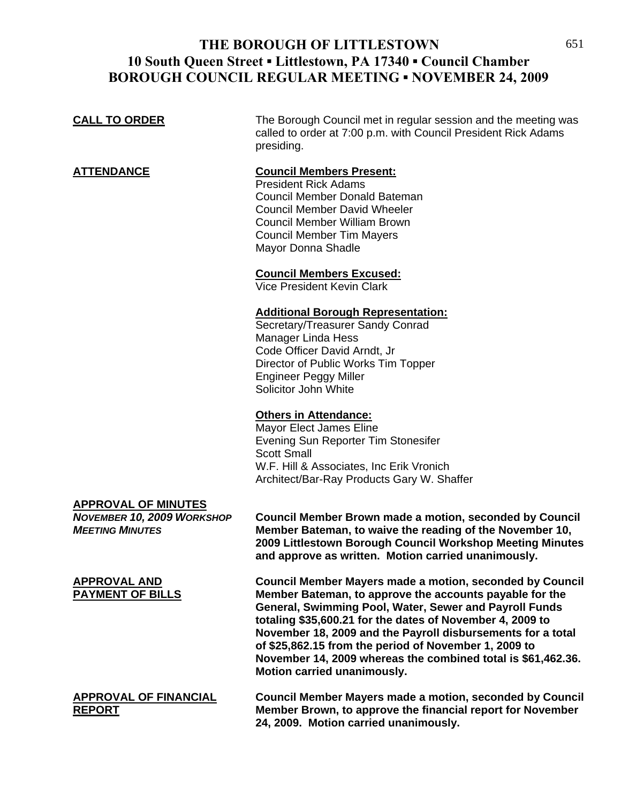| <b>CALL TO ORDER</b>                                                               | The Borough Council met in regular session and the meeting was<br>called to order at 7:00 p.m. with Council President Rick Adams<br>presiding.                                                                                                                                                                                                                                                                                                                           |
|------------------------------------------------------------------------------------|--------------------------------------------------------------------------------------------------------------------------------------------------------------------------------------------------------------------------------------------------------------------------------------------------------------------------------------------------------------------------------------------------------------------------------------------------------------------------|
| <b>ATTENDANCE</b>                                                                  | <b>Council Members Present:</b><br><b>President Rick Adams</b><br>Council Member Donald Bateman<br><b>Council Member David Wheeler</b><br><b>Council Member William Brown</b><br><b>Council Member Tim Mayers</b><br>Mayor Donna Shadle                                                                                                                                                                                                                                  |
|                                                                                    | <b>Council Members Excused:</b><br><b>Vice President Kevin Clark</b>                                                                                                                                                                                                                                                                                                                                                                                                     |
|                                                                                    | <b>Additional Borough Representation:</b><br>Secretary/Treasurer Sandy Conrad<br><b>Manager Linda Hess</b><br>Code Officer David Arndt, Jr<br>Director of Public Works Tim Topper<br><b>Engineer Peggy Miller</b><br>Solicitor John White                                                                                                                                                                                                                                |
|                                                                                    | <b>Others in Attendance:</b><br>Mayor Elect James Eline<br>Evening Sun Reporter Tim Stonesifer<br><b>Scott Small</b><br>W.F. Hill & Associates, Inc Erik Vronich<br>Architect/Bar-Ray Products Gary W. Shaffer                                                                                                                                                                                                                                                           |
| <b>APPROVAL OF MINUTES</b><br>NOVEMBER 10, 2009 WORKSHOP<br><b>MEETING MINUTES</b> | Council Member Brown made a motion, seconded by Council<br>Member Bateman, to waive the reading of the November 10,<br>2009 Littlestown Borough Council Workshop Meeting Minutes<br>and approve as written. Motion carried unanimously.                                                                                                                                                                                                                                  |
| <b>APPROVAL AND</b><br><b>PAYMENT OF BILLS</b>                                     | <b>Council Member Mayers made a motion, seconded by Council</b><br>Member Bateman, to approve the accounts payable for the<br>General, Swimming Pool, Water, Sewer and Payroll Funds<br>totaling \$35,600.21 for the dates of November 4, 2009 to<br>November 18, 2009 and the Payroll disbursements for a total<br>of \$25,862.15 from the period of November 1, 2009 to<br>November 14, 2009 whereas the combined total is \$61,462.36.<br>Motion carried unanimously. |
| <b>APPROVAL OF FINANCIAL</b><br><b>REPORT</b>                                      | Council Member Mayers made a motion, seconded by Council<br>Member Brown, to approve the financial report for November<br>24, 2009. Motion carried unanimously.                                                                                                                                                                                                                                                                                                          |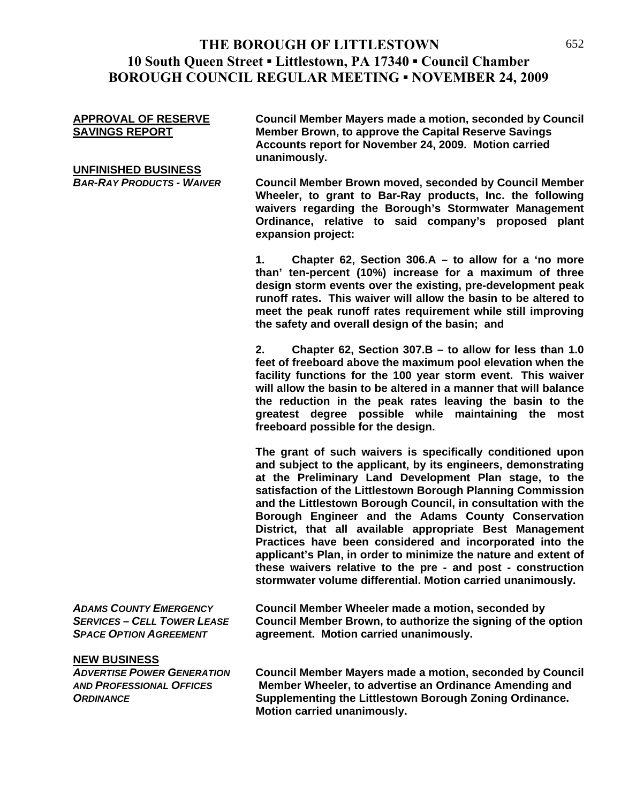## **UNFINISHED BUSINESS**

**APPROVAL OF RESERVE Council Member Mayers made a motion, seconded by Council SAVINGS REPORT Member Brown, to approve the Capital Reserve Savings Accounts report for November 24, 2009. Motion carried unanimously.**

*BAR-RAY PRODUCTS - WAIVER* **Council Member Brown moved, seconded by Council Member Wheeler, to grant to Bar-Ray products, Inc. the following waivers regarding the Borough's Stormwater Management Ordinance, relative to said company's proposed plant expansion project:** 

> **1. Chapter 62, Section 306.A – to allow for a 'no more than' ten-percent (10%) increase for a maximum of three design storm events over the existing, pre-development peak runoff rates. This waiver will allow the basin to be altered to meet the peak runoff rates requirement while still improving the safety and overall design of the basin; and**

> **2. Chapter 62, Section 307.B – to allow for less than 1.0 feet of freeboard above the maximum pool elevation when the facility functions for the 100 year storm event. This waiver will allow the basin to be altered in a manner that will balance the reduction in the peak rates leaving the basin to the greatest degree possible while maintaining the most freeboard possible for the design.**

> **The grant of such waivers is specifically conditioned upon and subject to the applicant, by its engineers, demonstrating at the Preliminary Land Development Plan stage, to the satisfaction of the Littlestown Borough Planning Commission and the Littlestown Borough Council, in consultation with the Borough Engineer and the Adams County Conservation District, that all available appropriate Best Management Practices have been considered and incorporated into the applicant's Plan, in order to minimize the nature and extent of these waivers relative to the pre - and post - construction stormwater volume differential. Motion carried unanimously.**

# **NEW BUSINESS**

*ADAMS COUNTY EMERGENCY* **Council Member Wheeler made a motion, seconded by**  *SERVICES – CELL TOWER LEASE* **Council Member Brown, to authorize the signing of the option**  *SPACE OPTION AGREEMENT* **agreement. Motion carried unanimously.** 

*ADVERTISE POWER GENERATION* **Council Member Mayers made a motion, seconded by Council**  *AND PROFESSIONAL OFFICES* **Member Wheeler, to advertise an Ordinance Amending and**  *ORDINANCE* **Supplementing the Littlestown Borough Zoning Ordinance. Motion carried unanimously.**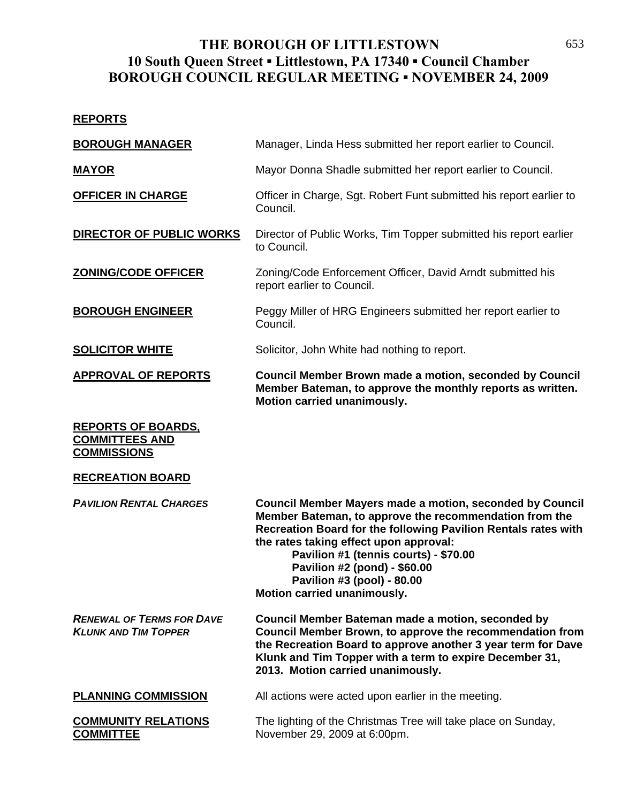### **REPORTS**

| <b>BOROUGH MANAGER</b>                                                   | Manager, Linda Hess submitted her report earlier to Council.                                                                                                                                                                                                                                                                                                                |
|--------------------------------------------------------------------------|-----------------------------------------------------------------------------------------------------------------------------------------------------------------------------------------------------------------------------------------------------------------------------------------------------------------------------------------------------------------------------|
| <b>MAYOR</b>                                                             | Mayor Donna Shadle submitted her report earlier to Council.                                                                                                                                                                                                                                                                                                                 |
| <b>OFFICER IN CHARGE</b>                                                 | Officer in Charge, Sgt. Robert Funt submitted his report earlier to<br>Council.                                                                                                                                                                                                                                                                                             |
| DIRECTOR OF PUBLIC WORKS                                                 | Director of Public Works, Tim Topper submitted his report earlier<br>to Council.                                                                                                                                                                                                                                                                                            |
| <b>ZONING/CODE OFFICER</b>                                               | Zoning/Code Enforcement Officer, David Arndt submitted his<br>report earlier to Council.                                                                                                                                                                                                                                                                                    |
| <b>BOROUGH ENGINEER</b>                                                  | Peggy Miller of HRG Engineers submitted her report earlier to<br>Council.                                                                                                                                                                                                                                                                                                   |
| <b>SOLICITOR WHITE</b>                                                   | Solicitor, John White had nothing to report.                                                                                                                                                                                                                                                                                                                                |
| <b>APPROVAL OF REPORTS</b>                                               | <b>Council Member Brown made a motion, seconded by Council</b><br>Member Bateman, to approve the monthly reports as written.<br>Motion carried unanimously.                                                                                                                                                                                                                 |
| <b>REPORTS OF BOARDS,</b><br><b>COMMITTEES AND</b><br><b>COMMISSIONS</b> |                                                                                                                                                                                                                                                                                                                                                                             |
| <b>RECREATION BOARD</b>                                                  |                                                                                                                                                                                                                                                                                                                                                                             |
| <b>PAVILION RENTAL CHARGES</b>                                           | <b>Council Member Mayers made a motion, seconded by Council</b><br>Member Bateman, to approve the recommendation from the<br>Recreation Board for the following Pavilion Rentals rates with<br>the rates taking effect upon approval:<br>Pavilion #1 (tennis courts) - \$70.00<br>Pavilion #2 (pond) - \$60.00<br>Pavilion #3 (pool) - 80.00<br>Motion carried unanimously. |
| <b>RENEWAL OF TERMS FOR DAVE</b><br><b>KLUNK AND TIM TOPPER</b>          | Council Member Bateman made a motion, seconded by<br>Council Member Brown, to approve the recommendation from                                                                                                                                                                                                                                                               |

**the Recreation Board to approve another 3 year term for Dave Klunk and Tim Topper with a term to expire December 31,** 

**2013. Motion carried unanimously.**

**PLANNING COMMISSION** All actions were acted upon earlier in the meeting.

**COMMITTEE** November 29, 2009 at 6:00pm.

**COMMUNITY RELATIONS** The lighting of the Christmas Tree will take place on Sunday,

653